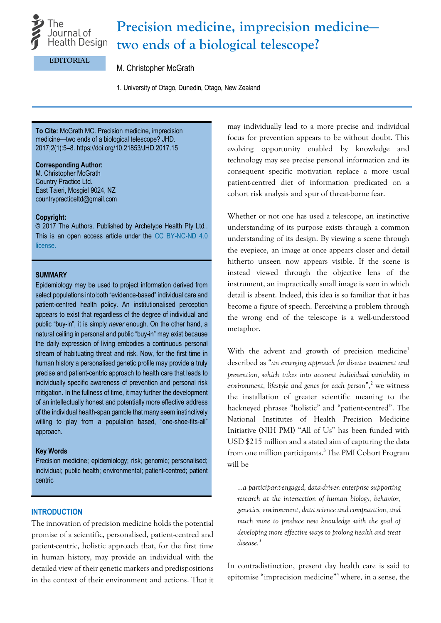

# **Precision medicine, imprecision medicine two ends of a biological telescope?**

#### **EDITORIAL**

## M. Christopher McGrath

1. University of Otago, Dunedin, Otago, New Zealand

**To Cite:** McGrath MC. Precision medicine, imprecision medicine—two ends of a biological telescope? JHD. 2017;2(1):5–8. https://doi.org/10.21853/JHD.2017.15

#### **Corresponding Author:**

M. Christopher McGrath Country Practice Ltd. East Taieri, Mosgiel 9024, NZ [countrypracticeltd@gmail.com](mailto:countrypracticeltd@gmail.com)

#### **Copyright:**

© 2017 The Authors. Published by Archetype Health Pty Ltd.. This is an open access article under the [CC BY-NC-ND 4.0](https://creativecommons.org/licenses/by-nc-nd/4.0/)  [license.](https://creativecommons.org/licenses/by-nc-nd/4.0/)

## **SUMMARY**

Epidemiology may be used to project information derived from select populations into both "evidence-based" individual care and patient-centred health policy. An institutionalised perception appears to exist that regardless of the degree of individual and public "buy-in", it is simply *never* enough. On the other hand, a natural ceiling in personal and public "buy-in" may exist because the daily expression of living embodies a continuous personal stream of habituating threat and risk. Now, for the first time in human history a personalised genetic profile may provide a truly precise and patient-centric approach to health care that leads to individually specific awareness of prevention and personal risk mitigation. In the fullness of time, it may further the development of an intellectually honest and potentially more effective address of the individual health-span gamble that many seem instinctively willing to play from a population based, "one-shoe-fits-all" approach.

#### **Key Words**

Precision medicine; epidemiology; risk; genomic; personalised; individual; public health; environmental; patient-centred; patient centric

#### **INTRODUCTION**

The innovation of precision medicine holds the potential promise of a scientific, personalised, patient-centred and patient-centric, holistic approach that, for the first time in human history, may provide an individual with the detailed view of their genetic markers and predispositions in the context of their environment and actions. That it may individually lead to a more precise and individual focus for prevention appears to be without doubt. This evolving opportunity enabled by knowledge and technology may see precise personal information and its consequent specific motivation replace a more usual patient-centred diet of information predicated on a cohort risk analysis and spur of threat-borne fear.

Whether or not one has used a telescope, an instinctive understanding of its purpose exists through a common understanding of its design. By viewing a scene through the eyepiece, an image at once appears closer and detail hitherto unseen now appears visible. If the scene is instead viewed through the objective lens of the instrument, an impractically small image is seen in which detail is absent. Indeed, this idea is so familiar that it has become a figure of speech. Perceiving a problem through the wrong end of the telescope is a well-understood metaphor.

With the advent and growth of precision medicine<sup>1</sup> described as "*an emerging approach for disease treatment and prevention, which takes into account individual variability in environment, lifestyle and genes for each person*", <sup>2</sup> we witness the installation of greater scientific meaning to the hackneyed phrases "holistic" and "patient-centred". The National Institutes of Health Precision Medicine Initiative (NIH PMI) "All of Us" has been funded with USD \$215 million and a stated aim of capturing the data from one million participants.<sup>3</sup>The PMI Cohort Program will be

*…a participant-engaged, data-driven enterprise supporting research at the intersection of human biology, behavior, genetics, environment, data science and computation, and much more to produce new knowledge with the goal of developing more effective ways to prolong health and treat disease.*<sup>3</sup>

In contradistinction, present day health care is said to epitomise "imprecision medicine" <sup>4</sup> where, in a sense, the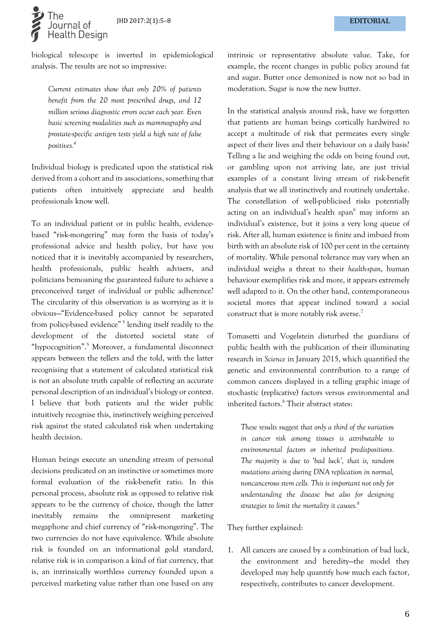

biological telescope is inverted in epidemiological analysis. The results are not so impressive:

*Current estimates show that only 20% of patients benefit from the 20 most prescribed drugs, and 12 million serious diagnostic errors occur each year. Even basic screening modalities such as mammography and prostate-specific antigen tests yield a high rate of false positives.<sup>4</sup>*

Individual biology is predicated upon the statistical risk derived from a cohort and its associations, something that patients often intuitively appreciate and health professionals know well.

To an individual patient or in public health, evidencebased "risk-mongering" may form the basis of today's professional advice and health policy, but have you noticed that it is inevitably accompanied by researchers, health professionals, public health advisers, and politicians bemoaning the guaranteed failure to achieve a preconceived target of individual or public adherence? The circularity of this observation is as worrying as it is obvious—"Evidence-based policy cannot be separated from policy-based evidence"<sup>5</sup> lending itself readily to the development of the distorted societal state of "hypocognition". <sup>5</sup> Moreover, a fundamental disconnect appears between the tellers and the told, with the latter recognising that a statement of calculated statistical risk is not an absolute truth capable of reflecting an accurate personal description of an individual's biology or context. I believe that both patients and the wider public intuitively recognise this, instinctively weighing perceived risk against the stated calculated risk when undertaking health decision.

Human beings execute an unending stream of personal decisions predicated on an instinctive or sometimes more formal evaluation of the risk-benefit ratio. In this personal process, absolute risk as opposed to relative risk appears to be the currency of choice, though the latter inevitably remains the omnipresent marketing megaphone and chief currency of "risk-mongering". The two currencies do not have equivalence. While absolute risk is founded on an informational gold standard, relative risk is in comparison a kind of fiat currency, that is, an intrinsically worthless currency founded upon a perceived marketing value rather than one based on any

intrinsic or representative absolute value. Take, for example, the recent changes in public policy around fat and sugar. Butter once demonized is now not so bad in moderation. Sugar is now the new butter.

In the statistical analysis around risk, have we forgotten that patients are human beings cortically hardwired to accept a multitude of risk that permeates every single aspect of their lives and their behaviour on a daily basis? Telling a lie and weighing the odds on being found out, or gambling upon not arriving late, are just trivial examples of a constant living stream of risk-benefit analysis that we all instinctively and routinely undertake. The constellation of well-publicised risks potentially acting on an individual's health span<sup>6</sup> may inform an individual's existence, but it joins a very long queue of risk. After all, human existence is finite and imbued from birth with an absolute risk of 100 per cent in the certainty of mortality. While personal tolerance may vary when an individual weighs a threat to their *health-span*, human behaviour exemplifies risk and more, it appears extremely well adapted to it. On the other hand, contemporaneous societal mores that appear inclined toward a social construct that is more notably risk averse.<sup>7</sup>

Tomasetti and Vogelstein disturbed the guardians of public health with the publication of their illuminating research in *Science* in January 2015, which quantified the genetic and environmental contribution to a range of common cancers displayed in a telling graphic image of stochastic (replicative) factors versus environmental and inherited factors.<sup>8</sup> Their abstract states:

*These results suggest that only a third of the variation in cancer risk among tissues is attributable to environmental factors or inherited predispositions. The majority is due to 'bad luck', that is, random mutations arising during DNA replication in normal, noncancerous stem cells. This is important not only for understanding the disease but also for designing strategies to limit the mortality it causes. 8*

They further explained:

1. All cancers are caused by a combination of bad luck, the environment and heredity—the model they developed may help quantify how much each factor, respectively, contributes to cancer development.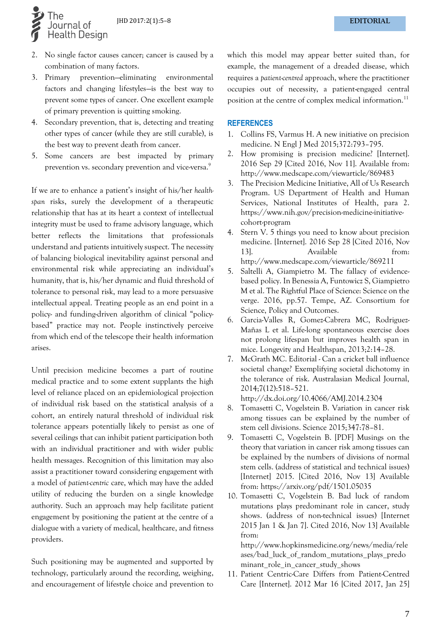

- 2. No single factor causes cancer; cancer is caused by a combination of many factors.
- 3. Primary prevention—eliminating environmental factors and changing lifestyles—is the best way to prevent some types of cancer. One excellent example of primary prevention is quitting smoking.
- 4. Secondary prevention, that is, detecting and treating other types of cancer (while they are still curable), is the best way to prevent death from cancer.
- 5. Some cancers are best impacted by primary prevention vs. secondary prevention and vice-versa.<sup>9</sup>

If we are to enhance a patient's insight of his/her *healthspan* risks, surely the development of a therapeutic relationship that has at its heart a context of intellectual integrity must be used to frame advisory language, which better reflects the limitations that professionals understand and patients intuitively suspect. The necessity of balancing biological inevitability against personal and environmental risk while appreciating an individual's humanity, that is, his/her dynamic and fluid threshold of tolerance to personal risk, may lead to a more persuasive intellectual appeal. Treating people as an end point in a policy- and funding-driven algorithm of clinical "policybased" practice may not. People instinctively perceive from which end of the telescope their health information arises.

Until precision medicine becomes a part of routine medical practice and to some extent supplants the high level of reliance placed on an epidemiological projection of individual risk based on the statistical analysis of a cohort, an entirely natural threshold of individual risk tolerance appears potentially likely to persist as one of several ceilings that can inhibit patient participation both with an individual practitioner and with wider public health messages. Recognition of this limitation may also assist a practitioner toward considering engagement with a model of *patient-centric* care, which may have the added utility of reducing the burden on a single knowledge authority. Such an approach may help facilitate patient engagement by positioning the patient at the centre of a dialogue with a variety of medical, healthcare, and fitness providers.

Such positioning may be augmented and supported by technology, particularly around the recording, weighing, and encouragement of lifestyle choice and prevention to

which this model may appear better suited than, for example, the management of a dreaded disease, which requires a *patient-centred* approach, where the practitioner occupies out of necessity, a patient-engaged central position at the centre of complex medical information.<sup>11</sup>

#### **REFERENCES**

- 1. Collins FS, Varmus H. A new initiative on precision medicine. N Engl J Med 2015;372:793–795.
- 2. How promising is precision medicine? [Internet]. 2016 Sep 29 [Cited 2016, Nov 11]. Available from: http://www.medscape.com/viewarticle/869483
- 3. The Precision Medicine Initiative, All of Us Research Program. US Department of Health and Human Services, National Institutes of Health, para 2. https://www.nih.gov/precision-medicine-initiativecohort-program
- 4. Stern V. 5 things you need to know about precision medicine. [Internet]. 2016 Sep 28 [Cited 2016, Nov 13]. Available from: http://www.medscape.com/viewarticle/869211
- 5. Saltelli A, Giampietro M. The fallacy of evidencebased policy. In Benessia A, Funtowicz S, Giampietro M et al. The Rightful Place of Science: Science on the verge. 2016, pp.57. Tempe, AZ. Consortium for Science, Policy and Outcomes.
- 6. Garcia-Valles R, Gomez-Cabrera MC, Rodriguez-Mañas L et al. Life-long spontaneous exercise does not prolong lifespan but improves health span in mice. Longevity and Healthspan, 2013;2:14–28.
- 7. McGrath MC. Editorial Can a cricket ball influence societal change? Exemplifying societal dichotomy in the tolerance of risk. Australasian Medical Journal, 2014;7(12):518–521.

<http://dx.doi.org/10.4066/AMJ.2014.2304>

- 8. Tomasetti C, Vogelstein B. Variation in cancer risk among tissues can be explained by the number of stem cell divisions. Science 2015;347:78–81.
- 9. Tomasetti C, Vogelstein B. [PDF] Musings on the theory that variation in cancer risk among tissues can be explained by the numbers of divisions of normal stem cells. (address of statistical and technical issues) [Internet] 2015. [Cited 2016, Nov 13] Available from: https://arxiv.org/pdf/1501.05035
- 10. Tomasetti C, Vogelstein B. Bad luck of random mutations plays predominant role in cancer, study shows. (address of non-technical issues) [Internet 2015 Jan 1 & Jan 7]. Cited 2016, Nov 13] Available from:

http://www.hopkinsmedicine.org/news/media/rele ases/bad\_luck\_of\_random\_mutations\_plays\_predo minant\_role\_in\_cancer\_study\_shows

11. Patient Centric-Care Differs from Patient-Centred Care [Internet]. 2012 Mar 16 [Cited 2017, Jan 25]